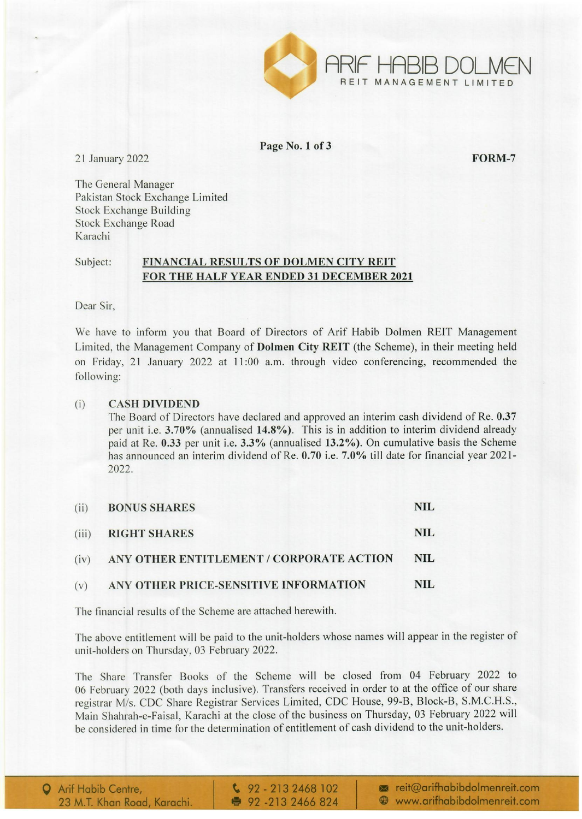

Page No.1 of 3

21 January 2022 **FORM-7** 

The General Manager Pakistan Stock Exchange Limited Stock Exchange Building Stock Exchange Road Karachi

## Subject: FINANCIAL RESULTS OF DOLMEN CITY REIT FOR THE HALF YEAR ENDED 31 DECEMBER 2021

Dear Sir,

We have to inform you that Board of Directors of Arif Habib Dolmen RElT Management Limited, the Management Company of Dolmen City REIT (the Scheme), in their meeting held on Friday, 21 January 2022 at 11 :00 a.m. through video conferencing, recommended the following:

### (i) CASH DIVIDEND

The Board of Directors have declared and approved an interim cash dividend of Re. 0.37 per unit i.e. 3.70% (annualised 14.8%). This is in addition to interim dividend already paid at Re. 0.33 per unit i.e. 3.3% (annualised 13.2%). On cumulative basis the Scheme has announced an interim dividend of Re. 0.70 i.e. 7.0% till date for financial year 2021- 2022.

| (ii) | <b>BONUS SHARES</b>                           | NIL  |
|------|-----------------------------------------------|------|
|      | (iii) RIGHT SHARES                            | NIL  |
|      | (iv) ANY OTHER ENTITLEMENT / CORPORATE ACTION | NIL. |
| (v)  | ANY OTHER PRICE-SENSITIVE INFORMATION         | NIL. |

The financial results of the Scheme are attached herewith.

The above entitlement will be paid to the unit-holders whose names will appear in the register of unit-holders on Thursday, 03 February 2022.

The Share Transfer Books of the Scheme will be closed from 04 February 2022 to 06 February 2022 (both days inclusive). Transfers received in order to at the office of our share registrar *Mis.* CDC Share Registrar Services Limited, CDC House, 99-B, Block-B, S.M.C.H.S., Main Shahrah-e-Faisal, Karachi at the close of the business on Thursday, 03 February 2022 will be considered in time for the determination of entitlement of cash dividend to the unit-holders.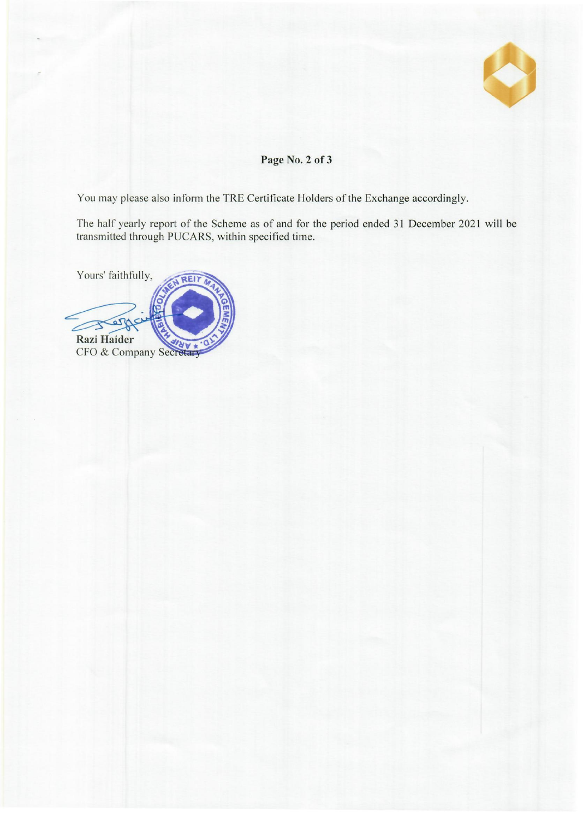

# Page No. 2 of 3

You may please also inform the TRE Certificate Holders of the Exchange accordingly.

The half yearly report of the Scheme as of and for the period ended 31 December 2021 will be transmitted through PUCARS, within specified time.

Yours' faithfully, REIT S Razi Haider CFO & Company Secretary